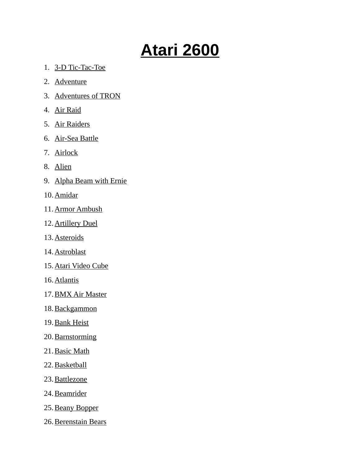## **Atari 2600**

- 1. 3-D Tic-Tac-Toe
- 2. Adventure
- 3. Adventures of TRON
- 4. Air Raid
- 5. Air Raiders
- 6. Air-Sea Battle
- 7. Airlock
- 8. Alien
- 9. Alpha Beam with Ernie
- 10. Amidar
- 11. Armor Ambush
- 12. Artillery Duel
- 13. Asteroids
- 14. Astroblast
- 15. Atari Video Cube
- 16. Atlantis
- 17. BMX Air Master
- 18. Backgammon
- 19. Bank Heist
- 20. Barnstorming
- 21. Basic Math
- 22. Basketball
- 23. Battlezone
- 24. Beamrider
- 25. Beany Bopper
- 26. Berenstain Bears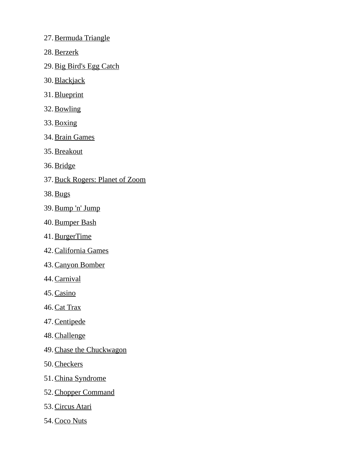- 27. Bermuda Triangle
- 28. Berzerk
- 29. Big Bird's Egg Catch
- 30. Blackjack
- 31. Blueprint
- 32. Bowling
- 33. Boxing
- 34. Brain Games
- 35. Breakout
- 36. Bridge
- 37. Buck Rogers: Planet of Zoom
- 38. Bugs
- 39. Bump 'n' Jump
- 40. Bumper Bash
- 41. BurgerTime
- 42. California Games
- 43. Canyon Bomber
- 44. Carnival
- 45. Casino
- 46. Cat Trax
- 47. Centipede
- 48. Challenge
- 49. Chase the Chuckwagon
- 50. Checkers
- 51. China Syndrome
- 52. Chopper Command
- 53. Circus Atari
- 54. Coco Nuts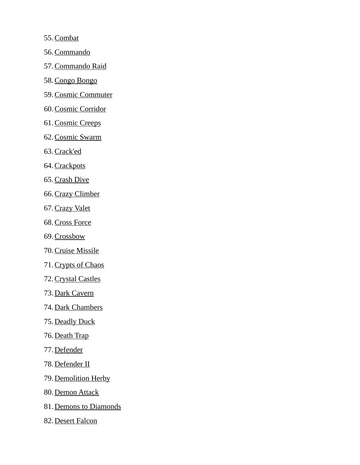55. Combat

- 56. Commando
- 57. Commando Raid
- 58. Congo Bongo
- 59. Cosmic Commuter
- 60. Cosmic Corridor
- 61. Cosmic Creeps
- 62. Cosmic Swarm
- 63. Crack'ed
- 64. Crackpots
- 65. Crash Dive
- 66. Crazy Climber
- 67. Crazy Valet
- 68. Cross Force
- 69. Crossbow
- 70. Cruise Missile
- 71. Crypts of Chaos
- 72. Crystal Castles
- 73. Dark Cavern
- 74. Dark Chambers
- 75. Deadly Duck
- 76. Death Trap
- 77. Defender
- 78. Defender II
- 79. Demolition Herby
- 80. Demon Attack
- 81. Demons to Diamonds
- 82. Desert Falcon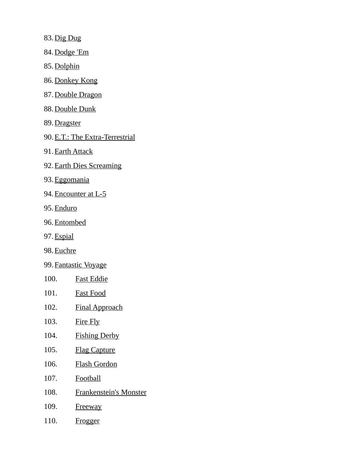83. Dig Dug

84. Dodge 'Em

85. Dolphin

- 86. Donkey Kong
- 87. Double Dragon
- 88. Double Dunk
- 89. Dragster
- 90. E.T.: The Extra-Terrestrial
- 91. Earth Attack
- 92. Earth Dies Screaming
- 93. Eggomania
- 94. Encounter at L-5
- 95. Enduro
- 96. Entombed
- 97. Espial
- 98. Euchre
- 99. Fantastic Voyage
- 100. Fast Eddie
- 101. Fast Food
- 102. Final Approach
- 103. Fire Fly
- 104. Fishing Derby
- 105. Flag Capture
- 106. Flash Gordon
- 107. Football
- 108. Frankenstein's Monster
- 109. Freeway
- 110. Frogger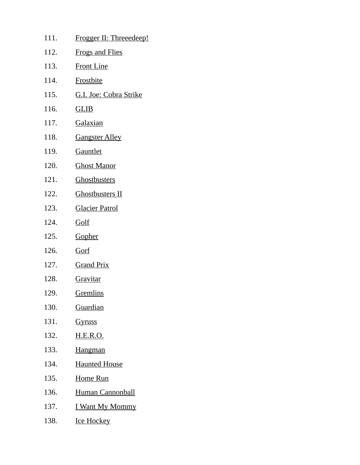| 111. | Frogger II: Threeedeep! |
|------|-------------------------|
| 112. | <b>Frogs and Flies</b>  |
| 113. | <b>Front Line</b>       |
| 114. | <b>Frostbite</b>        |
| 115. | G.I. Joe: Cobra Strike  |
| 116. | <u>GLIB</u>             |
| 117. | <u>Galaxian</u>         |
| 118. | <u>Gangster Alley</u>   |
| 119. | Gauntlet                |
| 120. | <u> Ghost Manor</u>     |
| 121. | <b>Ghostbusters</b>     |
| 122. | <b>Ghostbusters II</b>  |
| 123. | <b>Glacier Patrol</b>   |
| 124. | <u>Golf</u>             |
| 125. | <b>Gopher</b>           |
| 126. | <u>Gorf</u>             |
| 127. | <b>Grand Prix</b>       |
| 128. | Gravitar                |
| 129. | <u>Gremlins</u>         |
| 130. | <u>Guardian</u>         |
| 131. | <u>Gyruss</u>           |
| 132. | <u>H.E.R.O.</u>         |
| 133. | <b>Hangman</b>          |
| 134. | <b>Haunted House</b>    |
| 135. | <u>Home Run</u>         |
| 136. | <b>Human Cannonball</b> |
| 137. | <u>I Want My Mommy</u>  |
| 138. | <b>Ice Hockey</b>       |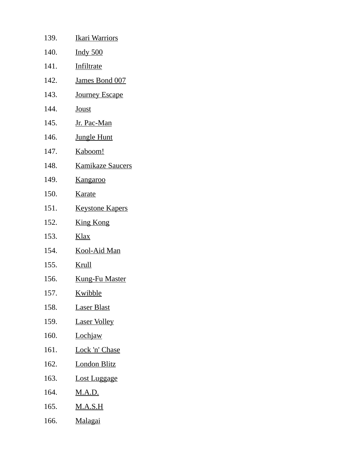| 139. | <u>Ikari Warriors</u>   |
|------|-------------------------|
| 140. | <u>Indy 500</u>         |
| 141. | <u>Infiltrate</u>       |
| 142. | James Bond 007          |
| 143. | <b>Journey Escape</b>   |
| 144. | <b>Joust</b>            |
| 145. | <u>Jr. Pac-Man</u>      |
| 146. | <b>Jungle Hunt</b>      |
| 147. | <u>Kaboom!</u>          |
| 148. | <b>Kamikaze Saucers</b> |
| 149. | <u>Kangaroo</u>         |
| 150. | <b>Karate</b>           |
| 151. | <b>Keystone Kapers</b>  |
| 152. | <b>King Kong</b>        |
| 153. | <b>Klax</b>             |
| 154. | <u>Kool-Aid Man</u>     |
| 155. | <u>Krull</u>            |
| 156. | <b>Kung-Fu Master</b>   |
| 157. | Kwibble                 |
| 158. | <u>Laser Blast</u>      |
| 159. | <b>Laser Volley</b>     |
| 160. | <b>Lochjaw</b>          |
| 161. | <u>Lock 'n' Chase</u>   |
| 162. | <b>London Blitz</b>     |
| 163. | <u>Lost Luggage</u>     |
| 164. | <u>M.A.D.</u>           |
| 165. | <u>M.A.S.H</u>          |
| 166. | <u>Malagai</u>          |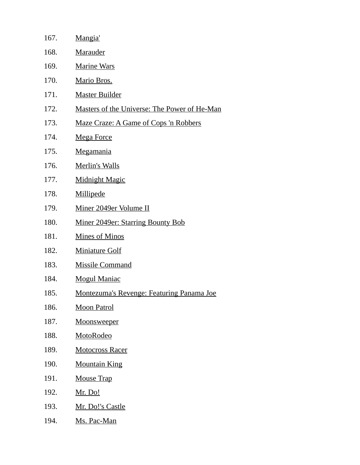| 167. | Mangia'                                             |
|------|-----------------------------------------------------|
| 168. | Marauder                                            |
| 169. | <b>Marine Wars</b>                                  |
| 170. | Mario Bros.                                         |
| 171. | <b>Master Builder</b>                               |
| 172. | <u>Masters of the Universe: The Power of He-Man</u> |
| 173. | Maze Craze: A Game of Cops 'n Robbers               |
| 174. | <b>Mega Force</b>                                   |
| 175. | <b>Megamania</b>                                    |
| 176. | <b>Merlin's Walls</b>                               |
| 177. | <b>Midnight Magic</b>                               |
| 178. | Millipede                                           |
| 179. | Miner 2049er Volume II                              |
| 180. | <b>Miner 2049er: Starring Bounty Bob</b>            |
| 181. | <b>Mines of Minos</b>                               |
| 182. | <b>Miniature Golf</b>                               |
| 183. | <b>Missile Command</b>                              |
| 184. | <b>Mogul Maniac</b>                                 |
| 185. | Montezuma's Revenge: Featuring Panama Joe           |
| 186. | <b>Moon Patrol</b>                                  |
| 187. | <b>Moonsweeper</b>                                  |
| 188. | MotoRodeo                                           |
| 189. | <b>Motocross Racer</b>                              |
| 190. | <b>Mountain King</b>                                |
| 191. | <b>Mouse Trap</b>                                   |
| 192. | <u>Mr. Do!</u>                                      |
| 193. | <u>Mr. Do!'s Castle</u>                             |
| 194. | Ms. Pac-Man                                         |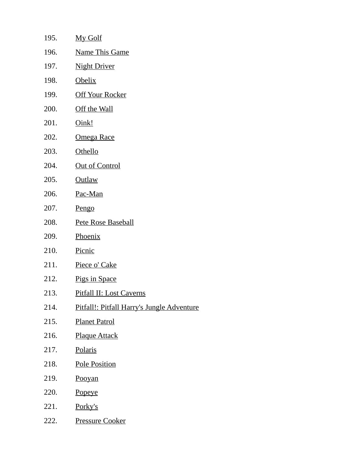| 195. | My Golf                                    |
|------|--------------------------------------------|
| 196. | <b>Name This Game</b>                      |
| 197. | <b>Night Driver</b>                        |
| 198. | <b>Obelix</b>                              |
| 199. | <b>Off Your Rocker</b>                     |
| 200. | Off the Wall                               |
| 201. | Oink!                                      |
| 202. | Omega Race                                 |
| 203. | <b>Othello</b>                             |
| 204. | <b>Out of Control</b>                      |
| 205. | <b>Outlaw</b>                              |
| 206. | Pac-Man                                    |
| 207. | Pengo                                      |
| 208. | <b>Pete Rose Baseball</b>                  |
| 209. | Phoenix                                    |
| 210. | Picnic                                     |
| 211. | Piece o' Cake                              |
| 212. | Pigs in Space                              |
| 213. | Pitfall II: Lost Caverns                   |
| 214. | Pitfall!: Pitfall Harry's Jungle Adventure |
| 215. | <b>Planet Patrol</b>                       |
| 216. | <b>Plaque Attack</b>                       |
| 217. | Polaris                                    |
| 218. | <b>Pole Position</b>                       |
| 219. | <b>Pooyan</b>                              |
| 220. | <b>Popeye</b>                              |
| 221. | Porky's                                    |
| 222. | <u>Pressure Cooker</u>                     |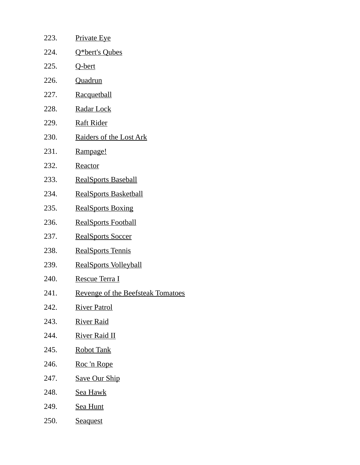| 223. | <b>Private Eye</b>                       |
|------|------------------------------------------|
| 224. | Q*bert's Qubes                           |
| 225. | Q-bert                                   |
| 226. | <b>Quadrun</b>                           |
| 227. | <b>Racquetball</b>                       |
| 228. | Radar Lock                               |
| 229. | <b>Raft Rider</b>                        |
| 230. | Raiders of the Lost Ark                  |
| 231. | Rampage!                                 |
| 232. | Reactor                                  |
| 233. | <b>RealSports Baseball</b>               |
| 234. | <b>RealSports Basketball</b>             |
| 235. | <b>RealSports Boxing</b>                 |
| 236. | <b>RealSports Football</b>               |
| 237. | <b>RealSports Soccer</b>                 |
| 238. | <b>RealSports Tennis</b>                 |
| 239. | <b>RealSports Volleyball</b>             |
| 240. | <u>Rescue Terra I</u>                    |
| 241. | <b>Revenge of the Beefsteak Tomatoes</b> |
| 242. | <u> River Patrol</u>                     |
| 243. | <u>River Raid</u>                        |
| 244. | <u> River Raid II</u>                    |
| 245. | <b>Robot Tank</b>                        |
| 246. | Roc 'n Rope                              |
| 247. | <b>Save Our Ship</b>                     |
| 248. | <u>Sea Hawk</u>                          |
| 249. | <b>Sea Hunt</b>                          |
| 250. | <b>Seaquest</b>                          |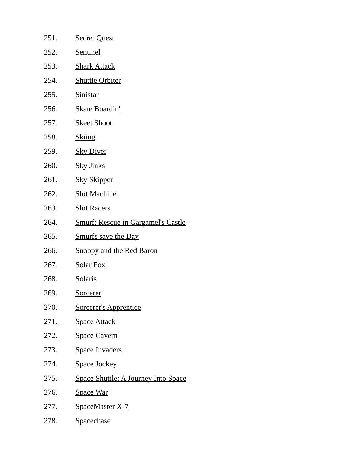| 251. | <b>Secret Quest</b>                        |
|------|--------------------------------------------|
| 252. | <b>Sentinel</b>                            |
| 253. | <b>Shark Attack</b>                        |
| 254. | <b>Shuttle Orbiter</b>                     |
| 255. | <b>Sinistar</b>                            |
| 256. | <b>Skate Boardin'</b>                      |
| 257. | <b>Skeet Shoot</b>                         |
| 258. | <b>Skiing</b>                              |
| 259. | <b>Sky Diver</b>                           |
| 260. | <b>Sky Jinks</b>                           |
| 261. | <b>Sky Skipper</b>                         |
| 262. | <b>Slot Machine</b>                        |
| 263. | <b>Slot Racers</b>                         |
| 264. | <b>Smurf: Rescue in Gargamel's Castle</b>  |
| 265. | <b>Smurfs save the Day</b>                 |
| 266. | <b>Snoopy and the Red Baron</b>            |
| 267. | <b>Solar Fox</b>                           |
| 268. | <b>Solaris</b>                             |
| 269. | <u>Sorcerer</u>                            |
| 270. | <b>Sorcerer's Apprentice</b>               |
| 271. | <b>Space Attack</b>                        |
| 272. | <b>Space Cavern</b>                        |
| 273. | <b>Space Invaders</b>                      |
| 274. | <b>Space Jockey</b>                        |
| 275. | <b>Space Shuttle: A Journey Into Space</b> |
| 276. | <b>Space War</b>                           |
| 277. | <b>SpaceMaster X-7</b>                     |
| 278. | <b>Spacechase</b>                          |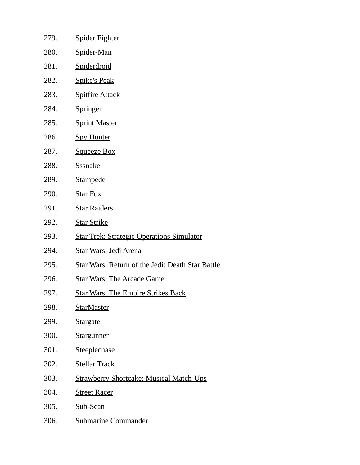- 279. Spider Fighter 280. Spider-Man 281. Spiderdroid 282. Spike's Peak 283. Spitfire Attack 284. Springer 285. Sprint Master 286. Spy Hunter 287. Squeeze Box 288. Sssnake 289. Stampede 290. Star Fox 291. Star Raiders 292. Star Strike 293. Star Trek: Strategic Operations Simulator 294. Star Wars: Jedi Arena 295. Star Wars: Return of the Jedi: Death Star Battle 296. Star Wars: The Arcade Game 297. Star Wars: The Empire Strikes Back 298. StarMaster 299. Stargate 300. Stargunner 301. Steeplechase 302. Stellar Track 303. Strawberry Shortcake: Musical Match-Ups 304. Street Racer
- 305. Sub-Scan
- 306. Submarine Commander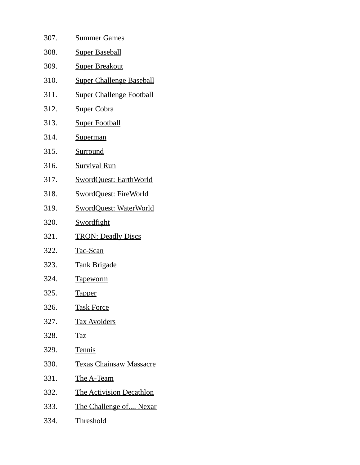| 307. | <b>Summer Games</b>             |
|------|---------------------------------|
| 308. | <b>Super Baseball</b>           |
| 309. | <u>Super Breakout</u>           |
| 310. | <b>Super Challenge Baseball</b> |
| 311. | <b>Super Challenge Football</b> |
| 312. | <b>Super Cobra</b>              |
| 313. | <b>Super Football</b>           |
| 314. | <b>Superman</b>                 |
| 315. | Surround                        |
| 316. | <b>Survival Run</b>             |
| 317. | <b>SwordQuest: EarthWorld</b>   |
| 318. | <b>SwordQuest: FireWorld</b>    |
| 319. | <b>SwordQuest: WaterWorld</b>   |
| 320. | <b>Swordfight</b>               |
| 321. | <b>TRON: Deadly Discs</b>       |
| 322. | <u>Tac-Scan</u>                 |
| 323. | <u>Tank Brigade</u>             |
| 324. | <u>Tapeworm</u>                 |
| 325. | <u>Tapper</u>                   |
| 326. | <b>Task Force</b>               |
| 327. | <b>Tax Avoiders</b>             |
| 328. | <b>Taz</b>                      |
| 329. | <b>Tennis</b>                   |
| 330. | <b>Texas Chainsaw Massacre</b>  |
| 331. | <u>The A-Team</u>               |
| 332. | <b>The Activision Decathlon</b> |
| 333. | The Challenge of Nexar          |
| 334. | <b>Threshold</b>                |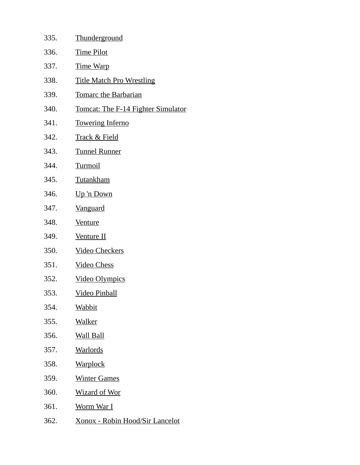| 335. | <b>Thunderground</b>                      |
|------|-------------------------------------------|
| 336. | <u>Time Pilot</u>                         |
| 337. | <u>Time Warp</u>                          |
| 338. | <b>Title Match Pro Wrestling</b>          |
| 339. | <u>Tomarc the Barbarian</u>               |
| 340. | <b>Tomcat: The F-14 Fighter Simulator</b> |
| 341. | <b>Towering Inferno</b>                   |
| 342. | <b>Track &amp; Field</b>                  |
| 343. | <b>Tunnel Runner</b>                      |
| 344. | <b>Turmoil</b>                            |
| 345. | Tutankham                                 |
| 346. | Up 'n Down                                |
| 347. | <b>Vanguard</b>                           |
| 348. | <b>Venture</b>                            |
| 349. | <b>Venture II</b>                         |
| 350. | <b>Video Checkers</b>                     |
| 351. | <b>Video Chess</b>                        |
| 352. | <b>Video Olympics</b>                     |
| 353. | <u>Video Pinball</u>                      |
| 354. | <u>Wabbit</u>                             |
| 355. | <u>Walker</u>                             |
| 356. | <u>Wall Ball</u>                          |
| 357. | <u>Warlords</u>                           |
| 358. | <u>Warplock</u>                           |
| 359. | <b>Winter Games</b>                       |
| 360. | <u>Wizard of Wor</u>                      |
| 361. | <u>Worm War I</u>                         |
| 362. | <u> Xonox - Robin Hood/Sir Lancelot</u>   |